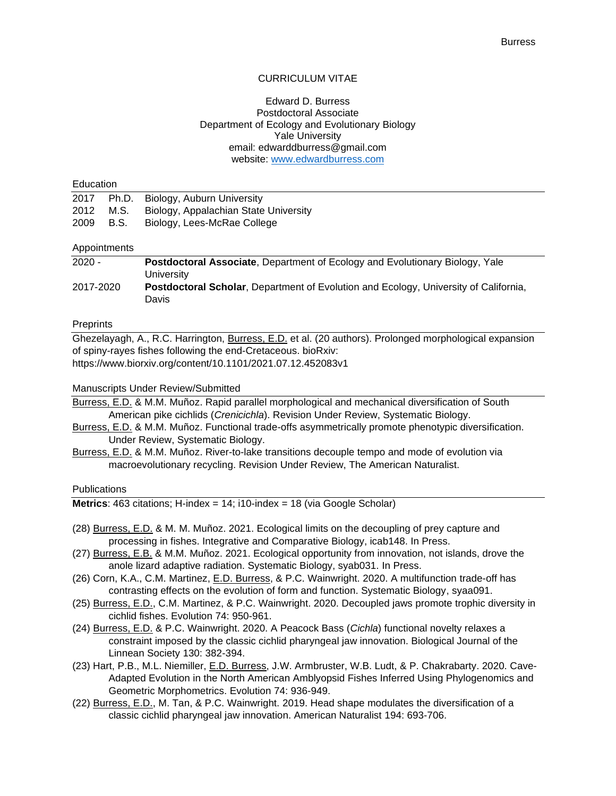# CURRICULUM VITAE

## Edward D. Burress Postdoctoral Associate Department of Ecology and Evolutionary Biology Yale University email: edwarddburress@gmail.com website: [www.edwardburress.com](http://www.edwardburress.com/)

#### Education

|           | 2017 Ph.D. Biology, Auburn University           |
|-----------|-------------------------------------------------|
|           | 2012 M.S. Biology, Appalachian State University |
| 2009 B.S. | Biology, Lees-McRae College                     |

# Appointments

| $2020 -$  | <b>Postdoctoral Associate, Department of Ecology and Evolutionary Biology, Yale</b>         |
|-----------|---------------------------------------------------------------------------------------------|
|           | University                                                                                  |
| 2017-2020 | <b>Postdoctoral Scholar, Department of Evolution and Ecology, University of California,</b> |
|           | Davis                                                                                       |

#### **Preprints**

Ghezelayagh, A., R.C. Harrington, Burress, E.D. et al. (20 authors). Prolonged morphological expansion of spiny-rayes fishes following the end-Cretaceous. bioRxiv: https://www.biorxiv.org/content/10.1101/2021.07.12.452083v1

#### Manuscripts Under Review/Submitted

Burress, E.D. & M.M. Muñoz. Rapid parallel morphological and mechanical diversification of South American pike cichlids (*Crenicichla*). Revision Under Review, Systematic Biology.

- Burress, E.D. & M.M. Muñoz. Functional trade-offs asymmetrically promote phenotypic diversification. Under Review, Systematic Biology.
- Burress, E.D. & M.M. Muñoz. River-to-lake transitions decouple tempo and mode of evolution via macroevolutionary recycling. Revision Under Review, The American Naturalist.

#### **Publications**

**Metrics**: 463 citations; H-index = 14; i10-index = 18 (via Google Scholar)

- (28) Burress, E.D. & M. M. Muñoz. 2021. Ecological limits on the decoupling of prey capture and processing in fishes. Integrative and Comparative Biology, icab148. In Press.
- (27) Burress, E.B. & M.M. Muñoz. 2021. Ecological opportunity from innovation, not islands, drove the anole lizard adaptive radiation. Systematic Biology, syab031. In Press.
- (26) Corn, K.A., C.M. Martinez, E.D. Burress, & P.C. Wainwright. 2020. A multifunction trade-off has contrasting effects on the evolution of form and function. Systematic Biology, syaa091.
- (25) Burress, E.D., C.M. Martinez, & P.C. Wainwright. 2020. Decoupled jaws promote trophic diversity in cichlid fishes. Evolution 74: 950-961.
- (24) Burress, E.D. & P.C. Wainwright. 2020. A Peacock Bass (*Cichla*) functional novelty relaxes a constraint imposed by the classic cichlid pharyngeal jaw innovation. Biological Journal of the Linnean Society 130: 382-394.
- (23) Hart, P.B., M.L. Niemiller, E.D. Burress, J.W. Armbruster, W.B. Ludt, & P. Chakrabarty. 2020. Cave-Adapted Evolution in the North American Amblyopsid Fishes Inferred Using Phylogenomics and Geometric Morphometrics. Evolution 74: 936-949.
- (22) Burress, E.D., M. Tan, & P.C. Wainwright. 2019. Head shape modulates the diversification of a classic cichlid pharyngeal jaw innovation. American Naturalist 194: 693-706.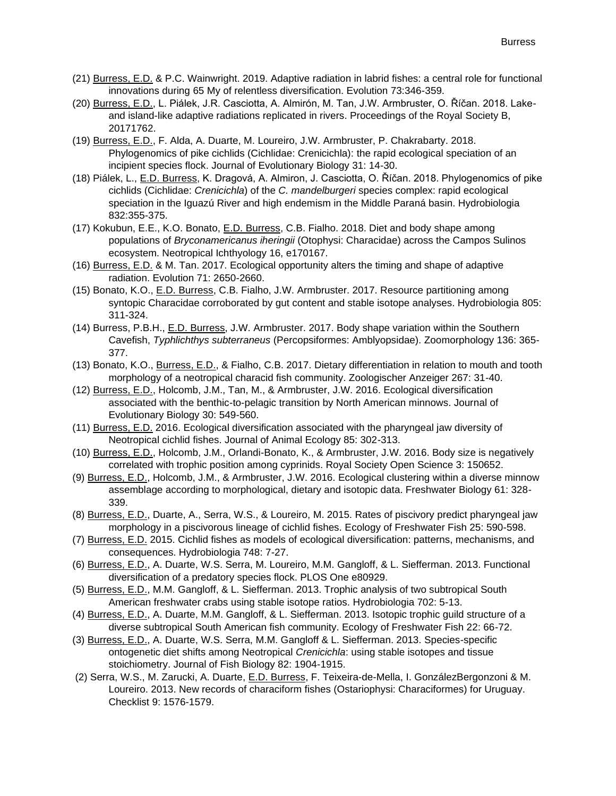- (21) Burress, E.D. & P.C. Wainwright. 2019. Adaptive radiation in labrid fishes: a central role for functional innovations during 65 My of relentless diversification. Evolution 73:346-359.
- (20) Burress, E.D., L. Piálek, J.R. Casciotta, A. Almirón, M. Tan, J.W. Armbruster, O. Říčan. 2018. Lakeand island-like adaptive radiations replicated in rivers. Proceedings of the Royal Society B, 20171762.
- (19) Burress, E.D., F. Alda, A. Duarte, M. Loureiro, J.W. Armbruster, P. Chakrabarty. 2018. Phylogenomics of pike cichlids (Cichlidae: Crenicichla): the rapid ecological speciation of an incipient species flock. Journal of Evolutionary Biology 31: 14-30.
- (18) Piálek, L., E.D. Burress, K. Dragová, A. Almiron, J. Casciotta, O. Říčan. 2018. Phylogenomics of pike cichlids (Cichlidae: *Crenicichla*) of the *C. mandelburgeri* species complex: rapid ecological speciation in the Iguazú River and high endemism in the Middle Paraná basin. Hydrobiologia 832:355-375.
- (17) Kokubun, E.E., K.O. Bonato, E.D. Burress, C.B. Fialho. 2018. Diet and body shape among populations of *Bryconamericanus iheringii* (Otophysi: Characidae) across the Campos Sulinos ecosystem. Neotropical Ichthyology 16, e170167.
- (16) Burress, E.D. & M. Tan. 2017. Ecological opportunity alters the timing and shape of adaptive radiation. Evolution 71: 2650-2660.
- (15) Bonato, K.O., E.D. Burress, C.B. Fialho, J.W. Armbruster. 2017. Resource partitioning among syntopic Characidae corroborated by gut content and stable isotope analyses. Hydrobiologia 805: 311-324.
- (14) Burress, P.B.H., E.D. Burress, J.W. Armbruster. 2017. Body shape variation within the Southern Cavefish, *Typhlichthys subterraneus* (Percopsiformes: Amblyopsidae). Zoomorphology 136: 365- 377.
- (13) Bonato, K.O., Burress, E.D., & Fialho, C.B. 2017. Dietary differentiation in relation to mouth and tooth morphology of a neotropical characid fish community. Zoologischer Anzeiger 267: 31-40.
- (12) Burress, E.D., Holcomb, J.M., Tan, M., & Armbruster, J.W. 2016. Ecological diversification associated with the benthic-to-pelagic transition by North American minnows. Journal of Evolutionary Biology 30: 549-560.
- (11) Burress, E.D. 2016. Ecological diversification associated with the pharyngeal jaw diversity of Neotropical cichlid fishes. Journal of Animal Ecology 85: 302-313.
- (10) Burress, E.D., Holcomb, J.M., Orlandi-Bonato, K., & Armbruster, J.W. 2016. Body size is negatively correlated with trophic position among cyprinids. Royal Society Open Science 3: 150652.
- (9) Burress, E.D., Holcomb, J.M., & Armbruster, J.W. 2016. Ecological clustering within a diverse minnow assemblage according to morphological, dietary and isotopic data. Freshwater Biology 61: 328- 339.
- (8) Burress, E.D., Duarte, A., Serra, W.S., & Loureiro, M. 2015. Rates of piscivory predict pharyngeal jaw morphology in a piscivorous lineage of cichlid fishes. Ecology of Freshwater Fish 25: 590-598.
- (7) Burress, E.D. 2015. Cichlid fishes as models of ecological diversification: patterns, mechanisms, and consequences. Hydrobiologia 748: 7-27.
- (6) Burress, E.D., A. Duarte, W.S. Serra, M. Loureiro, M.M. Gangloff, & L. Siefferman. 2013. Functional diversification of a predatory species flock. PLOS One e80929.
- (5) Burress, E.D., M.M. Gangloff, & L. Siefferman. 2013. Trophic analysis of two subtropical South American freshwater crabs using stable isotope ratios. Hydrobiologia 702: 5-13.
- (4) Burress, E.D., A. Duarte, M.M. Gangloff, & L. Siefferman. 2013. Isotopic trophic guild structure of a diverse subtropical South American fish community. Ecology of Freshwater Fish 22: 66-72.
- (3) Burress, E.D., A. Duarte, W.S. Serra, M.M. Gangloff & L. Siefferman. 2013. Species-specific ontogenetic diet shifts among Neotropical *Crenicichla*: using stable isotopes and tissue stoichiometry. Journal of Fish Biology 82: 1904-1915.
- (2) Serra, W.S., M. Zarucki, A. Duarte, E.D. Burress, F. Teixeira-de-Mella, I. GonzálezBergonzoni & M. Loureiro. 2013. New records of characiform fishes (Ostariophysi: Characiformes) for Uruguay. Checklist 9: 1576-1579.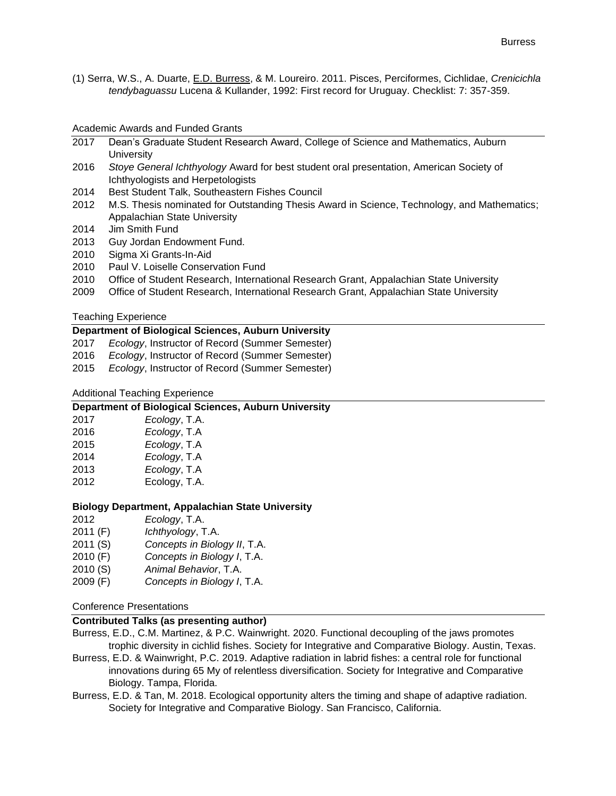(1) Serra, W.S., A. Duarte, E.D. Burress, & M. Loureiro. 2011. Pisces, Perciformes, Cichlidae, *Crenicichla tendybaguassu* Lucena & Kullander, 1992: First record for Uruguay. Checklist: 7: 357-359.

#### Academic Awards and Funded Grants

- 2017 Dean's Graduate Student Research Award, College of Science and Mathematics, Auburn **University**
- 2016 *Stoye General Ichthyology* Award for best student oral presentation, American Society of Ichthyologists and Herpetologists
- 2014 Best Student Talk, Southeastern Fishes Council
- 2012 M.S. Thesis nominated for Outstanding Thesis Award in Science, Technology, and Mathematics; Appalachian State University
- 2014 Jim Smith Fund
- 2013 Guy Jordan Endowment Fund.
- 2010 Sigma Xi Grants-In-Aid
- 2010 Paul V. Loiselle Conservation Fund
- 2010 Office of Student Research, International Research Grant, Appalachian State University
- 2009 Office of Student Research, International Research Grant, Appalachian State University

#### Teaching Experience

### **Department of Biological Sciences, Auburn University**

- 2017 *Ecology*, Instructor of Record (Summer Semester)
- 2016 *Ecology*, Instructor of Record (Summer Semester)
- 2015 *Ecology*, Instructor of Record (Summer Semester)

## Additional Teaching Experience

## **Department of Biological Sciences, Auburn University**

| 2017 | Ecology, T.A. |
|------|---------------|
| 2016 | Ecology, T.A  |
| 2015 | Ecology, T.A  |
| 2014 | Ecology, T.A  |
| 2013 | Ecology, T.A  |
| 2012 | Ecology, T.A. |

#### **Biology Department, Appalachian State University**

- 2011 (F) *Ichthyology*, T.A.
- 2011 (S) *Concepts in Biology II*, T.A.
- 2010 (F) *Concepts in Biology I*, T.A.
- 2010 (S) *Animal Behavior*, T.A.
- 2009 (F) *Concepts in Biology I*, T.A.

### Conference Presentations

# **Contributed Talks (as presenting author)**

- Burress, E.D., C.M. Martinez, & P.C. Wainwright. 2020. Functional decoupling of the jaws promotes trophic diversity in cichlid fishes. Society for Integrative and Comparative Biology. Austin, Texas.
- Burress, E.D. & Wainwright, P.C. 2019. Adaptive radiation in labrid fishes: a central role for functional innovations during 65 My of relentless diversification. Society for Integrative and Comparative Biology. Tampa, Florida.
- Burress, E.D. & Tan, M. 2018. Ecological opportunity alters the timing and shape of adaptive radiation. Society for Integrative and Comparative Biology. San Francisco, California.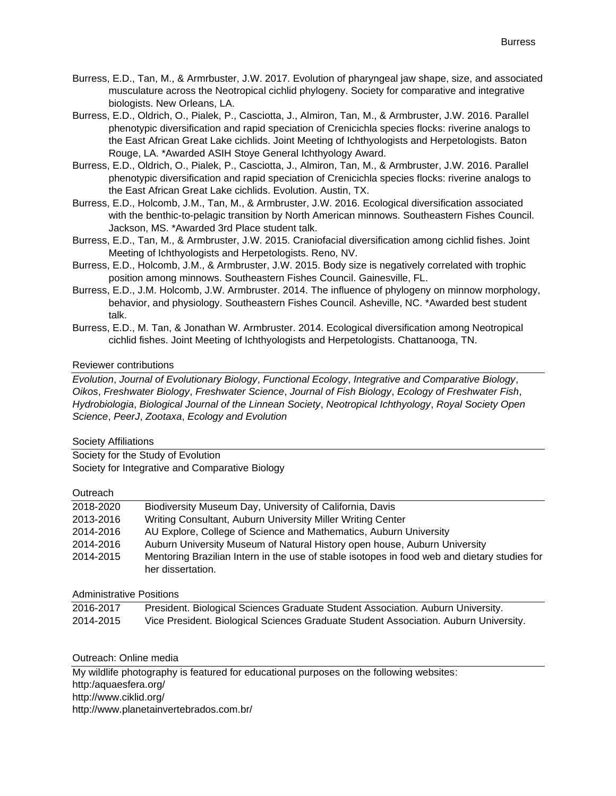- Burress, E.D., Tan, M., & Armrbuster, J.W. 2017. Evolution of pharyngeal jaw shape, size, and associated musculature across the Neotropical cichlid phylogeny. Society for comparative and integrative biologists. New Orleans, LA.
- Burress, E.D., Oldrich, O., Pialek, P., Casciotta, J., Almiron, Tan, M., & Armbruster, J.W. 2016. Parallel phenotypic diversification and rapid speciation of Crenicichla species flocks: riverine analogs to the East African Great Lake cichlids. Joint Meeting of Ichthyologists and Herpetologists. Baton Rouge, LA. \*Awarded ASIH Stoye General Ichthyology Award.
- Burress, E.D., Oldrich, O., Pialek, P., Casciotta, J., Almiron, Tan, M., & Armbruster, J.W. 2016. Parallel phenotypic diversification and rapid speciation of Crenicichla species flocks: riverine analogs to the East African Great Lake cichlids. Evolution. Austin, TX.
- Burress, E.D., Holcomb, J.M., Tan, M., & Armbruster, J.W. 2016. Ecological diversification associated with the benthic-to-pelagic transition by North American minnows. Southeastern Fishes Council. Jackson, MS. \*Awarded 3rd Place student talk.
- Burress, E.D., Tan, M., & Armbruster, J.W. 2015. Craniofacial diversification among cichlid fishes. Joint Meeting of Ichthyologists and Herpetologists. Reno, NV.
- Burress, E.D., Holcomb, J.M., & Armbruster, J.W. 2015. Body size is negatively correlated with trophic position among minnows. Southeastern Fishes Council. Gainesville, FL.
- Burress, E.D., J.M. Holcomb, J.W. Armbruster. 2014. The influence of phylogeny on minnow morphology, behavior, and physiology. Southeastern Fishes Council. Asheville, NC. \*Awarded best student talk.
- Burress, E.D., M. Tan, & Jonathan W. Armbruster. 2014. Ecological diversification among Neotropical cichlid fishes. Joint Meeting of Ichthyologists and Herpetologists. Chattanooga, TN.

# Reviewer contributions

*Evolution*, *Journal of Evolutionary Biology*, *Functional Ecology*, *Integrative and Comparative Biology*, *Oikos*, *Freshwater Biology*, *Freshwater Science*, *Journal of Fish Biology*, *Ecology of Freshwater Fish*, *Hydrobiologia*, *Biological Journal of the Linnean Society*, *Neotropical Ichthyology*, *Royal Society Open Science*, *PeerJ*, *Zootaxa*, *Ecology and Evolution*

## Society Affiliations

Society for the Study of Evolution Society for Integrative and Comparative Biology

## **Outreach**

| 2018-2020 | Biodiversity Museum Day, University of California, Davis                                                          |
|-----------|-------------------------------------------------------------------------------------------------------------------|
| 2013-2016 | Writing Consultant, Auburn University Miller Writing Center                                                       |
| 2014-2016 | AU Explore, College of Science and Mathematics, Auburn University                                                 |
| 2014-2016 | Auburn University Museum of Natural History open house, Auburn University                                         |
| 2014-2015 | Mentoring Brazilian Intern in the use of stable isotopes in food web and dietary studies for<br>her dissertation. |

Administrative Positions

| 2016-2017 | President. Biological Sciences Graduate Student Association. Auburn University.      |
|-----------|--------------------------------------------------------------------------------------|
| 2014-2015 | Vice President. Biological Sciences Graduate Student Association. Auburn University. |

## Outreach: Online media

My wildlife photography is featured for educational purposes on the following websites: http:/aquaesfera.org/ http://www.ciklid.org/ http://www.planetainvertebrados.com.br/